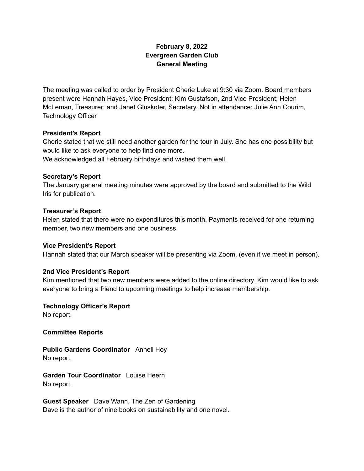## **February 8, 2022 Evergreen Garden Club General Meeting**

The meeting was called to order by President Cherie Luke at 9:30 via Zoom. Board members present were Hannah Hayes, Vice President; Kim Gustafson, 2nd Vice President; Helen McLeman, Treasurer; and Janet Gluskoter, Secretary. Not in attendance: Julie Ann Courim, Technology Officer

#### **President's Report**

Cherie stated that we still need another garden for the tour in July. She has one possibility but would like to ask everyone to help find one more. We acknowledged all February birthdays and wished them well.

#### **Secretary's Report**

The January general meeting minutes were approved by the board and submitted to the Wild Iris for publication.

#### **Treasurer's Report**

Helen stated that there were no expenditures this month. Payments received for one returning member, two new members and one business.

#### **Vice President's Report**

Hannah stated that our March speaker will be presenting via Zoom, (even if we meet in person).

### **2nd Vice President's Report**

Kim mentioned that two new members were added to the online directory. Kim would like to ask everyone to bring a friend to upcoming meetings to help increase membership.

# **Technology Officer's Report**

No report.

**Committee Reports**

**Public Gardens Coordinator** Annell Hoy No report.

**Garden Tour Coordinator** Louise Heern No report.

**Guest Speaker** Dave Wann, The Zen of Gardening Dave is the author of nine books on sustainability and one novel.